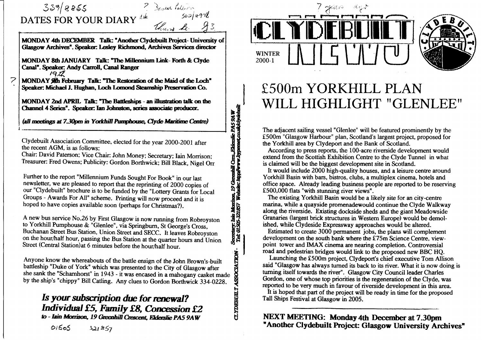## $339/8855$ **DATES FOR YOUR DIAR**

**7** 

*i*

**MONDAY** 4th DECEMBER Talk: Another Clyderuli froject-UMVersity ( **CHasgow Aidiives". Speaker Lesley RidbmHid, Archives Services** *dkectar* 

*Seaf* **4978**<br>Thurs Le. 9

n, 19 Greenhill Cres, Fliderslie PAS 9AW<br>Ghsile: bispijwww.hypennet.co.uk/ciyolehuill

ry: Iain Moniso Secretary: Iain Mon<br>Tel: 01505-321857

**CLYDEBUILT** 

Deven Palerm

**MONDAY 8lh JANUARY Talk: "Hie MiUennium link-Forth & Qyde Canal', ^leaker Andy Cam ^ Canal Ranger**   $1912$ 

**MONDAY Fdbniary Talk: "The Restotatkm of flie Maid of die Loch"** Speaker: Michael J. Hughan, Loch Lomond Steamship Preservation

**MONDAY 2nd APRIL Talk: "TheBaideshqis-anilhislndiontalkoatfie C3iannd 4 Series". £^)eaker Ian Johnston, series associate producer.** 

**(aff meetings at TJQpm in** *YodduttPtmipboase. Oyde Maatkae Ceatre)* 

**Clydebuilt Association Committee, elected for the year 2000-2001 after** 

**the recent AGM, is as follows: Chair: David Paterson; Vice Chair: John Money; Secretary; Iain Morrison; Treasurer: Fred Owens; Publicity: Gordon Borthwick; Bill Black, Nigel Orr** 

**Further to the report "Millennium Funds Sought For Book" in our last newsletter, we are pleased to report that the reprinting of 2000 copies of our "Clydebuilt" brochure is to be funded by the "Lottery Grants for Local Groups - Awards For AU" scheme. Printing will now proceed and it is hoped to have copies available soon (perhaps for Christmas?).** 

**A new bus service No.26 by First Glasgow is now running from Robroyston to Yorkhill Pumphouse & "Glenlee", via Springbum, St George's Cross, Buchanan Street Bus Station, Union Street and SECC. It leaves Robroyston on the hour/half hour, passing the Bus Station at the quarter hours and Union Street (Central Station) at 6 minutes before the hour/half hour.** 

**Anyone know the whereabouts of the battle ensign of the John Brown's-built battleship "Duke of York" which was presented to the City of Glasgow after she sank the "Schamhorst" in 1943 - it was encased in a mahogany casket made by the ship's "chippy" Bill Catling. Any clues to Gordon Borthwick 334-0228.** 

### *Is your subsaiption due for renewal? Individual* **£5,** *Fanaily £8, Concession £2 to - Iain Morrison, 19 Greenhill Crescent.* Elderslie PA5 9AW

ICIL 1 YDEBLILT **WINTER | 2000-** $\bf{I}$ **1 \_J\** 

## **£500m YORKHILL PLAN WILL HIGHLIGHT "GLENLEE"**

**The adjacent sailing vessel "Glenlee" will be featured prominently by the £500m "Glasgow Harbour" plan, Scotland's largest project, proposed for the Yorkhill area by Clydeport and the Bank of Scotland.** 

 **According to press reports, the 100-acre riverside development would extend from the Scottish Exhibition Centre to the Clyde Tunnel in what is claimed will be the biggest development site in Scotland.** 

 **It would include 2000 high-quality houses, and a leisure centre around Yorkhill Basin with bars, bistros, clubs, a multiplex cinema, hotels and office space. Already leading business people are reported to be reserving £500,000 flats "with stunning river views".** 

 **The existing Yorkhill Basin would be a likely site for an city-centre marina, while a quayside promenadewould continue the Clyde Walkway along the riverside. Existing dockside sheds and the giant Meadowside Granaries (largest brick structures in Western Europe) would be demol-ished, while Clydeside Expressway approaches would be altered.** 

 **Estimated to create 3000 permanent jobs, the plans will complement development on the south bank where the £75m Science Centre, view point tower and IMAX cinema are nearing completion. Controversial road and pedestrian bridges would link to the proposed new BBC HQ.** 

 **Launching the £500m project, Clydeport's chief executive Tom Allison said "Glasgow has always turned its back to its river. What it is now doing is turning itself towards the river". Glasgow City Council leader Charles Gordon, one of whose top priorities is the regeneration of the Clyde, was reported to be very much in favour of riverside development in this area.** 

 **It is hoped that part of the project will be ready in time for the proposed Tall Ships Festival at Glasgow in 2005.** 

**NEXT MEETING: Monday 4th December at 7.30pm "Another Clydebuilt Project: Glasgow University Archives"** 

01505  $321857$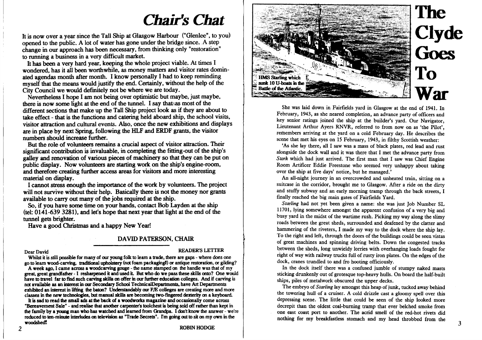# *Chair's Cbat*

**It is now over a year since the Tall Ship at Glasgow Harbour ("Glenlee", to you) opened to the public. A lot of water has gone under the bridge since. A step** change in our approach has been necessary, from thinking only "restoration" **to running a business in a very difficult maricet.** 

It has been a very hard year, keeping the whole project viable. At times I **wondered, has it aU been wortihwhile, as money matters and visitor rates domin ated agendas month after month. I know personally I had to keep reminding** myself that the means would justify the end. Certainly, without the help of the **City Council we would definitely not be where we are today.** 

 **Nevertheless I hope I am not being over optimistic but maybe, just maybe,** there is now some light at the end of the tunnel. I say that as most of the **different sections that make up the Tall Slip project look as if they are about to take effect - that is the functions and cataing held aboard ship, the school visits, visitor attraction and cultural events. Also, once the new exhibitions and displays are in place by next Spring, following the HLF and ERDF grants, the visitor numbers should increase further.** 

 **But the role of voluntears remains a crucial aspect of visitor attraction. Their significant contribution is invaluable, in completing the fitting-out of the ship's galley and renovation of various pieces of machinery so that they can be put on public display. Now volunteers are starting work on the ship's engine-room,** and therefore creating further access areas for visitors and more interesting material on display.

I cannot stress enough the importance of the work by volunteers. The project **will not survive without their help. Basically there is not the money nor grants available to carry out many of the jobs required at the ship.** 

 **So, if you have some time on your handis, contact Bob Layden at the ship (tel: 0141-639 3281), and let's hope that next year that light at the end of the tunnel gets brighter.** 

**Have a good Christmas and a happy New Year!** 

### **DAVID PATERSON, CHAIR**

### **Dear Davi**

#### **d READER'S LETTER**

Whilst it is still possible for many of our young folk to learn a trade, there are gaps - where does one **go to leam wood-carving, traditional iqihotory (not foam packaging!) cr antiqfue restoration, or gikling? A wedc ago, I came across a woodcarving gouge - tfie name stamped on the handle was that of my** great, great grandfather - I resharpened it and used it. But who do we pass these skills onto? One would have to travel far to find such carving skills on offer in our further education colleges. And if carving is *n* not available as an interest in our Secondary School TechnicalDepartments, have Art Departments **exhibited an interest in lifting the baton? Understandably our F/E colleges are creating more and more classes in the new technologies, but manual skills are beccsning two-fi^^red dextaity on a keyboard.** 

 **is sad to read** *tx* **small aik at ttie back of a woodwoiks magazitffi and occaskxially come across** "Bereavement Sale" - and realise that another carpenter's toolchest is being sold off rather than kept in **fte family by a young man W**1**K> has watched and teamed ftnn Grandpa. I dont know die answer - we're** reduced to ten-minute interludes on television as "Trade Secrets". I'm going out to sit on my own in the **woodshed!** 



She was laid down in Fairfields yard in Glasgow at the end of 1941. In February, 1943, as she neared completion, an advance party of officers and key senior ratings joined the ship at the builder's yard. Our Navigator, Lieutenant Arthur Ayers RNVR, referred to from now on as 'the Pilot', remembers arriving at the yard on a cold February day. He describes the scene that met his eyes on 15 February, 1943, in filthy Scottish weather:

 'As she lay there, all I saw was a mass of black plates, red lead and rust alongside the dock wall and it was there that I met the advance party from *Stork* which had just arrived. The first man that I saw was Chief Engine Room Artificer Eddie Freestone who seemed very unhappy about taking over the ship at five days' notice, but he managed.'

An all-night journey in an overcrowded and unheated train, sitting on a suitcase in the corridor, brought me to Glasgow. After a ride on the dirty and stuffy subway and an early morning tramp through the back streets, I finally reached the big main gates of Fairfields Yard.

 *Starling* had not yet been given a name: she was just Job Number SL 11701, lying somewhere amongst the apparent confusion of a very big and busy yard in the midst of the wartime rush. Picking my way along the slimy roads between the great sheds, surrounded and deafened by the clatter and hammering of the riveters, I made my way to the dock where the ship lay. To the right and left, through the doors of the buildings could be seen vistas of great machines and spinning driving belts. Down the congested tracks between the sheds, long unwieldy lorries with overhanging loads fought for right of way with railway trucks full of rusty iron plates. On the edges of the dock, cranes trundled to and fro hooting officiously.

 In the dock itself there was a confused jumble of stumpy naked masts sticking drunkenly out of grotesque top-heavy hulls. On board the half-built ships, piles of metalwork obscured the upper decks.

 The embryo of *Starling* lay amongst this heap of junk, tucked away behind the towering hull of a cruiser. A cold drizzle cast a gloomy spell over this depressing scene. The little that could be seen of the ship looked more decrepit than the oldest coal-burning tramp that ever belched smoke from one east coast port to another. The acrid smell of the red-hot rivets did nothing for my breakfastless stomach and my head throbbed from the

 $\overline{3}$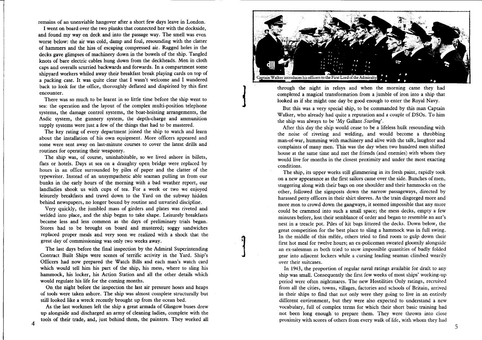remains of an unenviable hangover after a short few days leave in London.

 I went on board over the two planks that connected her with the dockside, and found my way on deck and into the passage way. The smell was even worse below: the air was cold, damp and foul, resounding with the clatter of hammers and the hiss of escaping compressed air. Ragged holes in the decks gave glimpses of machinery down in the bowels of the ship. Tangled knots of bare electric cables hung down from the deckheads. Men in cloth caps and overalls scurried backwards and forwards. In a compartment some shipyard workers whiled away their breakfast break playing cards on top of a packing case. It was quite clear that I wasn't welcome and I wandered back to look for the office, thoroughly deflated and dispirited by this first encounter.

 There was so much to be learnt in so little time before the ship went to sea: the operation and the layout of the complex multi-position telephone systems, the damage control systems, the boat-hoisting arrangements, the Asdic system, the gunnery system, the depth-charge and ammunition supply systems were just a few of the things that had to be mastered.

 The key rating of every department joined the ship to watch and learn about the installation of his own equipment. More officers appeared and some were sent away on last-minute courses to cover the latest drills and routines for operating their weaponry.

 The ship was, of course, uninhabitable, so we lived ashore in billets, flats or hotels. Days at sea on a draughty open bridge were replaced by hours in an office surrounded by piles of paper and the clatter of the typewriter. Instead of an unsympathetic able seaman pulling us from our bunks in the early hours of the morning with a bad weather report, our landladies shook us with cups of tea. For a week or two we enjoyed leisurely breakfasts and travel down to the Yard on the subway hidden behind newspapers, no longer bound by routine and unvaried discipline.

 Very quickly, the jumbled mass of girders and plates was riveted and welded into place, and the ship began to take shape. Leisurely breakfasts became less and less common as the days of preliminary trials began. Stores had to be brought on board and mustered; soggy sandwiches replaced proper meals and very soon we realized with a shock that the great day of commissioning was only two weeks away.

The last days before the final inspection by the Admiral Superintending Contract Built Ships were scenes of terrific activity in the Yard. Ship's Officers had now prepared the Watch Bills and each man's watch card which would tell him his part of the ship, his mess, where to sling his hammock, his locker, his Action Station and all the other details which would regulate his life for the coming months.

On the night before the inspection the last air pressure hoses and heaps of tools were taken ashore. The ship was almost complete structurally but still looked like a wreck recently brought up from the ocean bed.

 As the last workmen left the ship a great armada of Glasgow buses drew up alongside and discharged an army of cleaning ladies, complete with the tools of their trade, and, just behind them, the painters. They worked all



through the night in relays and when the morning came they had completed a magical transformation from a jumble of iron into a ship that looked as if she might one day be good enough to enter the Royal Navy.

 But this was a very special ship, to be commanded by this man Captain Walker, who already had quite a reputation and a couple of DSOs. To him the ship was always to be 'My Gallant *Starling'.* 

 After this day the ship would cease to be a lifeless hulk resounding with the noise of riveting and welding, and would become a throbbing man-of-war, humming with machinery and alive with the talk, laughter and complaints of many men. This was the day when two hundred men shifted house at the same time and met the friends (and enemies) with whom they would live for months in the closest proximity and under the most exacting conditions.

The ship, its upper works still glimmering in its fresh paint, rapidly took on a new appearance as the first sailors came over the side. Bunches of men, staggering along with their bags on one shoulder and their hammocks on the other, followed the signposts down the narrow passageways, directed by harassed petty officers in their shirt sleeves. As the train disgorged more and more men to crowd down the gangways, it seemed impossible that any more could be crammed into such a small space; the mess decks, empty a few minutes before, lost their semblance of order and began to resemble an ant's nest in a treacle pot. Piles of kit bags littered the decks. Down below, the great competition for the best place to sling a hammock was in full swing. In the middle of this mêlée, others tried to find room to gulp down their first hot meal for twelve hours; an ex-policeman sweated gloomily alongside an ex-salesman as both tried to stow impossible quantities of badly folded gear into adjacent lockers while a cursing leading seaman climbed wearily over their suitcases.

In 1943, the proportion of regular naval ratings available for draft to any ship was small. Consequendy the first few weeks of most ships' working-up period were often nightmares. The new Hostilities Only ratings, recruited from all the cities, towns, villages, factories and schools of Britain, arrived in their ships to find that not only were they going to live in an entirely different environment, but they were also expected to understand a new vocabulary, full of complex terms for which their short basic training had not been long enough to prepare them. They were thrown into close proximity with scores of others from every walk of life, with whom they had